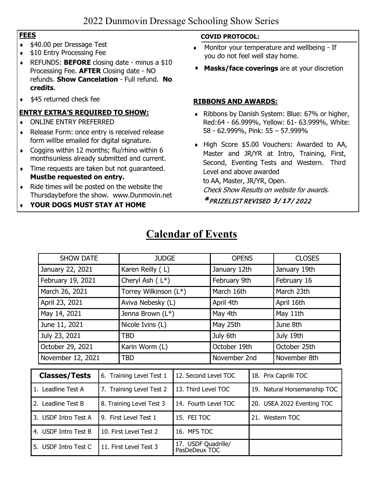#### **FEES**

- ♦ \$40.00 per Dressage Test
- ♦ \$10 Entry Processing Fee
- ♦ REFUNDS: **BEFORE** closing date minus a \$10 Processing Fee. **AFTER** Closing date - NO refunds. **Show Cancelation** - Full refund. **No credits**.
- \$45 returned check fee

#### **ENTRY EXTRA'S REQUIRED TO SHOW:**

- ♦ ONLINE ENTRY PREFERRED
- ♦ Release Form: once entry is received release form will be emailed for digital signature.
- ♦ Coggins within 12 months; flu/rhino within 6 monthsunless already submitted and current.
- ♦ Time requests are taken but not guaranteed. **Mustbe requested on entry.**
- ♦ Ride times will be posted on the website the Thursdaybefore the show. [www.Dunmovin.net](http://www.dunmovin.net/)
- ♦ **YOUR DOGS MUST STAY AT HOME**

#### **COVID PROTOCOL:**

- ♦ Monitor your temperature and wellbeing If you do not feel well stay home.
- **Masks/face coverings** are at your discretion

#### **RIBBONS AND AWARDS:**

- ♦ Ribbons by Danish System: Blue: 67% or higher, Red:64 - 66.999%, Yellow: 61- 63.999%, White: 58 - 62.999%, Pink: 55 – 57.999%
- ♦ High Score \$5.00 Vouchers: Awarded to AA, Master and JR/YR at Intro, Training, First, Second, Eventing Tests and Western. Third Level and above awarded to AA, Master, JR/YR, Open. Check Show Results on website for awards.

\* PRIZELIST REVISED **3/ 17/** 2022

## **Calendar of Events**

|  | <b>SHOW DATE</b>                                                 |                          | <b>JUDGE</b>           |                                      | <b>OPENS</b> |                              | <b>CLOSES</b> |  |
|--|------------------------------------------------------------------|--------------------------|------------------------|--------------------------------------|--------------|------------------------------|---------------|--|
|  | January 22, 2021                                                 |                          | Karen Reilly (L)       |                                      | January 12th |                              | January 19th  |  |
|  | February 19, 2021                                                |                          | Cheryl Ash $(L^*)$     |                                      | February 9th |                              | February 16   |  |
|  | March 26, 2021                                                   |                          | Torrey Wilkinson (L*)  |                                      | March 16th   |                              | March 23th    |  |
|  | April 23, 2021<br>May 14, 2021<br>June 11, 2021<br>July 23, 2021 |                          | Aviva Nebesky (L)      |                                      | April 4th    |                              | April 16th    |  |
|  |                                                                  |                          | Jenna Brown (L*)       |                                      | May 4th      |                              | May 11th      |  |
|  |                                                                  |                          | Nicole Ivins (L)       |                                      | May 25th     |                              | June 8th      |  |
|  |                                                                  |                          | <b>TBD</b>             |                                      | July 6th     |                              | July 19th     |  |
|  | October 29, 2021                                                 |                          | Karin Worm (L)         |                                      | October 19th |                              | October 25th  |  |
|  | November 12, 2021                                                |                          | <b>TBD</b>             |                                      | November 2nd |                              | November 8th  |  |
|  |                                                                  |                          |                        | 12. Second Level TOC                 |              |                              |               |  |
|  | <b>Classes/Tests</b>                                             | 6. Training Level Test 1 |                        |                                      |              | 18. Prix Caprilli TOC        |               |  |
|  | 1. Leadline Test A                                               | 7. Training Level Test 2 |                        | 13. Third Level TOC                  |              | 19. Natural Horsemanship TOC |               |  |
|  | 2. Leadline Test B                                               | 8. Training Level Test 3 |                        | 14. Fourth Level TOC                 |              | 20. USEA 2022 Eventing TOC   |               |  |
|  | 3. USDF Intro Test A                                             |                          | 9. First Level Test 1  | 15. FEI TOC                          |              | 21. Western TOC              |               |  |
|  | 4. USDF Intro Test B                                             |                          | 10. First Level Test 2 | 16. MFS TOC                          |              |                              |               |  |
|  | 5. USDF Intro Test C                                             | 11. First Level Test 3   |                        | 17. USDF Quadrille/<br>PasDeDeux TOC |              |                              |               |  |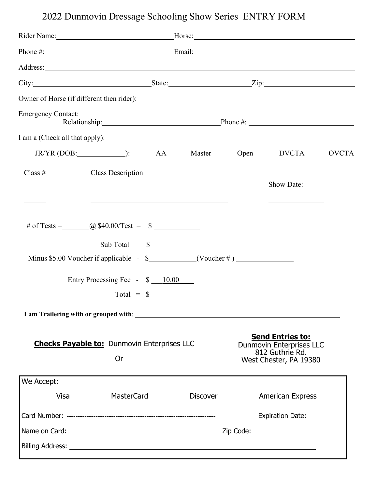# 2022 Dunmovin Dressage Schooling Show Series ENTRY FORM

| <b>Emergency Contact:</b><br>Relationship: Phone #: Phone #:                                                                                                                                                                                                                                                                                                                                    |                 |  |                                                                                                                                    |              |  |  |
|-------------------------------------------------------------------------------------------------------------------------------------------------------------------------------------------------------------------------------------------------------------------------------------------------------------------------------------------------------------------------------------------------|-----------------|--|------------------------------------------------------------------------------------------------------------------------------------|--------------|--|--|
| I am a (Check all that apply):                                                                                                                                                                                                                                                                                                                                                                  |                 |  |                                                                                                                                    |              |  |  |
| $JRYR (DOB:$ (2008)                                                                                                                                                                                                                                                                                                                                                                             | AA              |  | Master Open DVCTA                                                                                                                  | <b>OVCTA</b> |  |  |
| Class $#$<br><b>Class Description</b><br><u> 1999 - Johann Harry Harry Harry Harry Harry Harry Harry Harry Harry Harry Harry Harry Harry Harry Harry Harry</u><br>the control of the control of the control of the control of the control of the control of the control of the control of the control of the control of the control of the control of the control of the control of the control |                 |  | Show Date:<br><u> Alexandria de la contrada de la contrada de la contrada de la contrada de la contrada de la contrada de la c</u> |              |  |  |
| Sub Total = $\frac{1}{2}$<br>Minus \$5.00 Voucher if applicable - $\frac{1}{2}$ (Voucher #)<br>Entry Processing Fee - \$ 10.00                                                                                                                                                                                                                                                                  |                 |  |                                                                                                                                    |              |  |  |
| $Total = $$                                                                                                                                                                                                                                                                                                                                                                                     |                 |  |                                                                                                                                    |              |  |  |
|                                                                                                                                                                                                                                                                                                                                                                                                 |                 |  |                                                                                                                                    |              |  |  |
| <b>Checks Payable to:</b> Dunmovin Enterprises LLC<br>Or                                                                                                                                                                                                                                                                                                                                        |                 |  | <b>Send Entries to:</b><br>Dunmovin Enterprises LLC<br>812 Guthrie Rd.<br>West Chester, PA 19380                                   |              |  |  |
| We Accept:                                                                                                                                                                                                                                                                                                                                                                                      |                 |  |                                                                                                                                    |              |  |  |
| <b>MasterCard</b><br>Visa                                                                                                                                                                                                                                                                                                                                                                       | <b>Discover</b> |  | <b>American Express</b>                                                                                                            |              |  |  |
|                                                                                                                                                                                                                                                                                                                                                                                                 |                 |  |                                                                                                                                    |              |  |  |
|                                                                                                                                                                                                                                                                                                                                                                                                 |                 |  |                                                                                                                                    |              |  |  |
|                                                                                                                                                                                                                                                                                                                                                                                                 |                 |  |                                                                                                                                    |              |  |  |